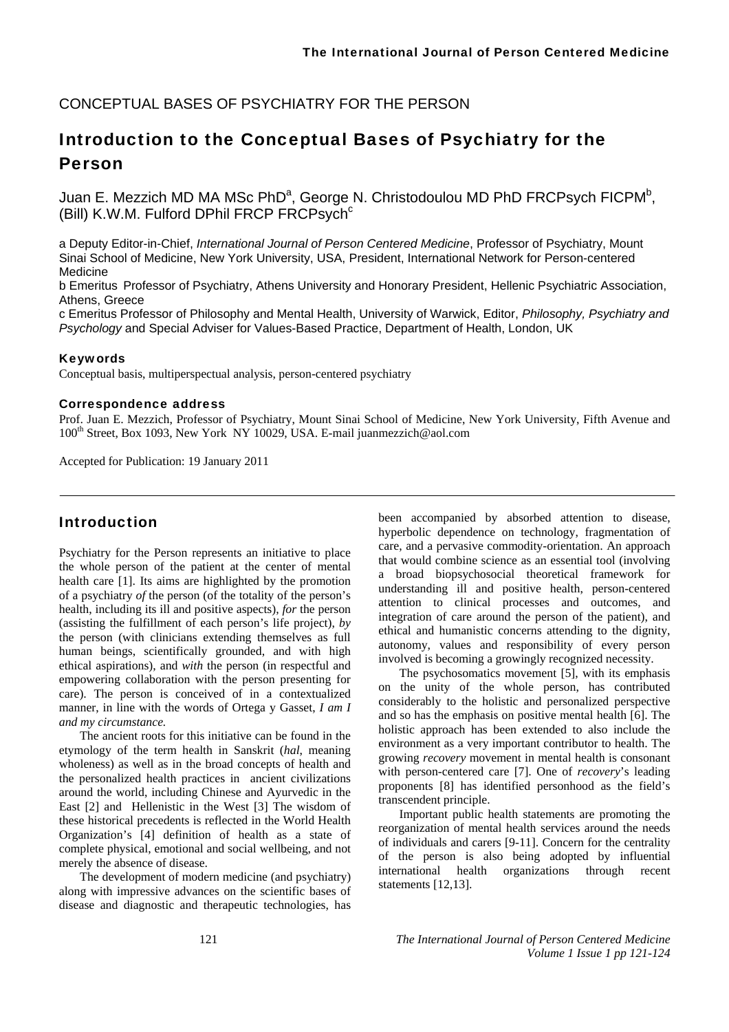## CONCEPTUAL BASES OF PSYCHIATRY FOR THE PERSON

# Introduction to the Conceptual Bases of Psychiatry for the Person

Juan E. Mezzich MD MA MSc PhD<sup>a</sup>, George N. Christodoulou MD PhD FRCPsych FICPM<sup>b</sup>, (Bill) K.W.M. Fulford DPhil FRCP FRCPsych<sup>c</sup>

a Deputy Editor-in-Chief, *International Journal of Person Centered Medicine*, Professor of Psychiatry, Mount Sinai School of Medicine, New York University, USA, President, International Network for Person-centered Medicine

b Emeritus Professor of Psychiatry, Athens University and Honorary President, Hellenic Psychiatric Association, Athens, Greece

c Emeritus Professor of Philosophy and Mental Health, University of Warwick, Editor, *Philosophy, Psychiatry and Psychology* and Special Adviser for Values-Based Practice, Department of Health, London, UK

#### Keywords

Conceptual basis, multiperspectual analysis, person-centered psychiatry

#### Correspondence address

Prof. Juan E. Mezzich, Professor of Psychiatry, Mount Sinai School of Medicine, New York University, Fifth Avenue and 100th Street, Box 1093, New York NY 10029, USA. E-mail juanmezzich@aol.com

Accepted for Publication: 19 January 2011

## Introduction

Psychiatry for the Person represents an initiative to place the whole person of the patient at the center of mental health care [1]. Its aims are highlighted by the promotion of a psychiatry *of* the person (of the totality of the person's health, including its ill and positive aspects), *for* the person (assisting the fulfillment of each person's life project), *by* the person (with clinicians extending themselves as full human beings, scientifically grounded, and with high ethical aspirations), and *with* the person (in respectful and empowering collaboration with the person presenting for care). The person is conceived of in a contextualized manner, in line with the words of Ortega y Gasset, *I am I and my circumstance.* 

The ancient roots for this initiative can be found in the etymology of the term health in Sanskrit (*hal*, meaning wholeness) as well as in the broad concepts of health and the personalized health practices in ancient civilizations around the world, including Chinese and Ayurvedic in the East [2] and Hellenistic in the West [3] The wisdom of these historical precedents is reflected in the World Health Organization's [4] definition of health as a state of complete physical, emotional and social wellbeing, and not merely the absence of disease.

The development of modern medicine (and psychiatry) along with impressive advances on the scientific bases of disease and diagnostic and therapeutic technologies, has

been accompanied by absorbed attention to disease, hyperbolic dependence on technology, fragmentation of care, and a pervasive commodity-orientation. An approach that would combine science as an essential tool (involving a broad biopsychosocial theoretical framework for understanding ill and positive health, person-centered attention to clinical processes and outcomes, and integration of care around the person of the patient), and ethical and humanistic concerns attending to the dignity, autonomy, values and responsibility of every person involved is becoming a growingly recognized necessity.

The psychosomatics movement [5], with its emphasis on the unity of the whole person, has contributed considerably to the holistic and personalized perspective and so has the emphasis on positive mental health [6]. The holistic approach has been extended to also include the environment as a very important contributor to health. The growing *recovery* movement in mental health is consonant with person-centered care [7]. One of *recovery*'s leading proponents [8] has identified personhood as the field's transcendent principle.

Important public health statements are promoting the reorganization of mental health services around the needs of individuals and carers [9-11]. Concern for the centrality of the person is also being adopted by influential international health organizations through recent statements [12,13].

121 *The International Journal of Person Centered Medicine Volume 1 Issue 1 pp 121-124*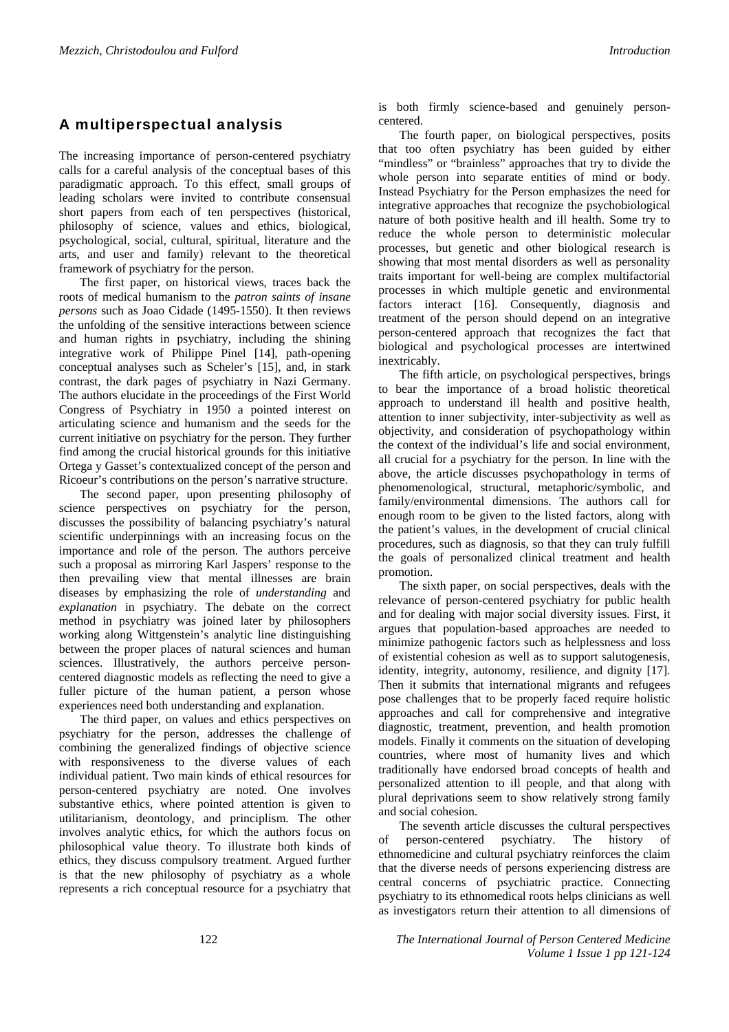## A multiperspectual analysis

The increasing importance of person-centered psychiatry calls for a careful analysis of the conceptual bases of this paradigmatic approach. To this effect, small groups of leading scholars were invited to contribute consensual short papers from each of ten perspectives (historical, philosophy of science, values and ethics, biological, psychological, social, cultural, spiritual, literature and the arts, and user and family) relevant to the theoretical framework of psychiatry for the person.

The first paper, on historical views, traces back the roots of medical humanism to the *patron saints of insane persons* such as Joao Cidade (1495-1550). It then reviews the unfolding of the sensitive interactions between science and human rights in psychiatry, including the shining integrative work of Philippe Pinel [14], path-opening conceptual analyses such as Scheler's [15], and, in stark contrast, the dark pages of psychiatry in Nazi Germany. The authors elucidate in the proceedings of the First World Congress of Psychiatry in 1950 a pointed interest on articulating science and humanism and the seeds for the current initiative on psychiatry for the person. They further find among the crucial historical grounds for this initiative Ortega y Gasset's contextualized concept of the person and Ricoeur's contributions on the person's narrative structure.

The second paper, upon presenting philosophy of science perspectives on psychiatry for the person, discusses the possibility of balancing psychiatry's natural scientific underpinnings with an increasing focus on the importance and role of the person. The authors perceive such a proposal as mirroring Karl Jaspers' response to the then prevailing view that mental illnesses are brain diseases by emphasizing the role of *understanding* and *explanation* in psychiatry. The debate on the correct method in psychiatry was joined later by philosophers working along Wittgenstein's analytic line distinguishing between the proper places of natural sciences and human sciences. Illustratively, the authors perceive personcentered diagnostic models as reflecting the need to give a fuller picture of the human patient, a person whose experiences need both understanding and explanation.

The third paper, on values and ethics perspectives on psychiatry for the person, addresses the challenge of combining the generalized findings of objective science with responsiveness to the diverse values of each individual patient. Two main kinds of ethical resources for person-centered psychiatry are noted. One involves substantive ethics, where pointed attention is given to utilitarianism, deontology, and principlism. The other involves analytic ethics, for which the authors focus on philosophical value theory. To illustrate both kinds of ethics, they discuss compulsory treatment. Argued further is that the new philosophy of psychiatry as a whole represents a rich conceptual resource for a psychiatry that

is both firmly science-based and genuinely personcentered.

The fourth paper, on biological perspectives, posits that too often psychiatry has been guided by either "mindless" or "brainless" approaches that try to divide the whole person into separate entities of mind or body. Instead Psychiatry for the Person emphasizes the need for integrative approaches that recognize the psychobiological nature of both positive health and ill health. Some try to reduce the whole person to deterministic molecular processes, but genetic and other biological research is showing that most mental disorders as well as personality traits important for well-being are complex multifactorial processes in which multiple genetic and environmental factors interact [16]. Consequently, diagnosis and treatment of the person should depend on an integrative person-centered approach that recognizes the fact that biological and psychological processes are intertwined inextricably.

The fifth article, on psychological perspectives, brings to bear the importance of a broad holistic theoretical approach to understand ill health and positive health, attention to inner subjectivity, inter-subjectivity as well as objectivity, and consideration of psychopathology within the context of the individual's life and social environment, all crucial for a psychiatry for the person. In line with the above, the article discusses psychopathology in terms of phenomenological, structural, metaphoric/symbolic, and family/environmental dimensions. The authors call for enough room to be given to the listed factors, along with the patient's values, in the development of crucial clinical procedures, such as diagnosis, so that they can truly fulfill the goals of personalized clinical treatment and health promotion.

The sixth paper, on social perspectives, deals with the relevance of person-centered psychiatry for public health and for dealing with major social diversity issues. First, it argues that population-based approaches are needed to minimize pathogenic factors such as helplessness and loss of existential cohesion as well as to support salutogenesis, identity, integrity, autonomy, resilience, and dignity [17]. Then it submits that international migrants and refugees pose challenges that to be properly faced require holistic approaches and call for comprehensive and integrative diagnostic, treatment, prevention, and health promotion models. Finally it comments on the situation of developing countries, where most of humanity lives and which traditionally have endorsed broad concepts of health and personalized attention to ill people, and that along with plural deprivations seem to show relatively strong family and social cohesion.

The seventh article discusses the cultural perspectives of person-centered psychiatry. The history of ethnomedicine and cultural psychiatry reinforces the claim that the diverse needs of persons experiencing distress are central concerns of psychiatric practice. Connecting psychiatry to its ethnomedical roots helps clinicians as well as investigators return their attention to all dimensions of

122 *The International Journal of Person Centered Medicine Volume 1 Issue 1 pp 121-124*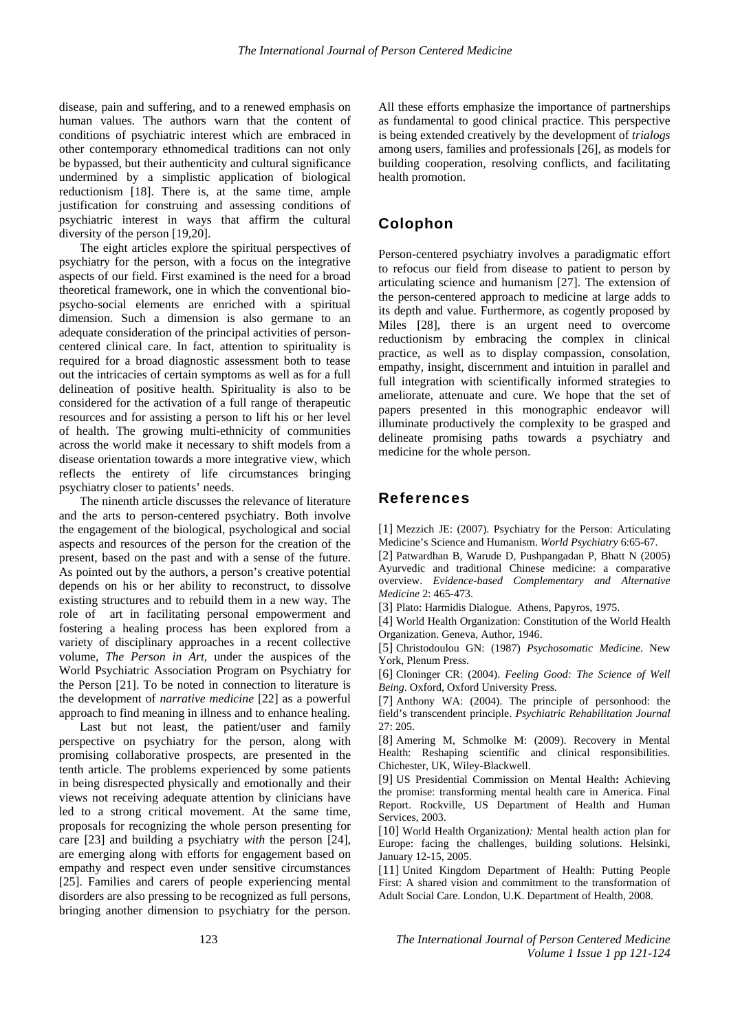disease, pain and suffering, and to a renewed emphasis on human values. The authors warn that the content of conditions of psychiatric interest which are embraced in other contemporary ethnomedical traditions can not only be bypassed, but their authenticity and cultural significance undermined by a simplistic application of biological reductionism [18]. There is, at the same time, ample justification for construing and assessing conditions of psychiatric interest in ways that affirm the cultural diversity of the person [19,20].

The eight articles explore the spiritual perspectives of psychiatry for the person, with a focus on the integrative aspects of our field. First examined is the need for a broad theoretical framework, one in which the conventional biopsycho-social elements are enriched with a spiritual dimension. Such a dimension is also germane to an adequate consideration of the principal activities of personcentered clinical care. In fact, attention to spirituality is required for a broad diagnostic assessment both to tease out the intricacies of certain symptoms as well as for a full delineation of positive health. Spirituality is also to be considered for the activation of a full range of therapeutic resources and for assisting a person to lift his or her level of health. The growing multi-ethnicity of communities across the world make it necessary to shift models from a disease orientation towards a more integrative view, which reflects the entirety of life circumstances bringing psychiatry closer to patients' needs.

The ninenth article discusses the relevance of literature and the arts to person-centered psychiatry. Both involve the engagement of the biological, psychological and social aspects and resources of the person for the creation of the present, based on the past and with a sense of the future. As pointed out by the authors, a person's creative potential depends on his or her ability to reconstruct, to dissolve existing structures and to rebuild them in a new way. The role of art in facilitating personal empowerment and fostering a healing process has been explored from a variety of disciplinary approaches in a recent collective volume, *The Person in Art,* under the auspices of the World Psychiatric Association Program on Psychiatry for the Person [21]. To be noted in connection to literature is the development of *narrative medicine* [22] as a powerful approach to find meaning in illness and to enhance healing.

Last but not least, the patient/user and family perspective on psychiatry for the person, along with promising collaborative prospects, are presented in the tenth article. The problems experienced by some patients in being disrespected physically and emotionally and their views not receiving adequate attention by clinicians have led to a strong critical movement. At the same time, proposals for recognizing the whole person presenting for care [23] and building a psychiatry *with* the person [24], are emerging along with efforts for engagement based on empathy and respect even under sensitive circumstances [25]. Families and carers of people experiencing mental disorders are also pressing to be recognized as full persons, bringing another dimension to psychiatry for the person.

All these efforts emphasize the importance of partnerships as fundamental to good clinical practice. This perspective is being extended creatively by the development of *trialogs*  among users, families and professionals [26], as models for building cooperation, resolving conflicts, and facilitating health promotion.

## Colophon

Person-centered psychiatry involves a paradigmatic effort to refocus our field from disease to patient to person by articulating science and humanism [27]. The extension of the person-centered approach to medicine at large adds to its depth and value. Furthermore, as cogently proposed by Miles [28], there is an urgent need to overcome reductionism by embracing the complex in clinical practice, as well as to display compassion, consolation, empathy, insight, discernment and intuition in parallel and full integration with scientifically informed strategies to ameliorate, attenuate and cure. We hope that the set of papers presented in this monographic endeavor will illuminate productively the complexity to be grasped and delineate promising paths towards a psychiatry and medicine for the whole person.

#### References

[1] Mezzich JE: (2007). Psychiatry for the Person: Articulating Medicine's Science and Humanism. *World Psychiatry* 6:65-67.

[2] Patwardhan B, Warude D, Pushpangadan P, Bhatt N (2005) Ayurvedic and traditional Chinese medicine: a comparative overview. *Evidence-based Complementary and Alternative Medicine* 2: 465-473.

[3] Plato: Harmidis Dialogue. Athens, Papyros, 1975.

[4] World Health Organization: Constitution of the World Health Organization. Geneva, Author, 1946.

[5] Christodoulou GN: (1987) *Psychosomatic Medicine*. New York, Plenum Press.

[6] Cloninger CR: (2004). *Feeling Good: The Science of Well Being*. Oxford, Oxford University Press.

[7] Anthony WA: (2004). The principle of personhood: the field's transcendent principle. *Psychiatric Rehabilitation Journal* 27: 205.

[8] Amering M, Schmolke M: (2009). Recovery in Mental Health: Reshaping scientific and clinical responsibilities. Chichester, UK, Wiley-Blackwell.

[9] US Presidential Commission on Mental Health**:** Achieving the promise: transforming mental health care in America. Final Report. Rockville, US Department of Health and Human Services, 2003.

[10] World Health Organization*):* Mental health action plan for Europe: facing the challenges, building solutions. Helsinki, January 12-15, 2005.

[11] United Kingdom Department of Health: Putting People First: A shared vision and commitment to the transformation of Adult Social Care. London, U.K. Department of Health, 2008.

123 *The International Journal of Person Centered Medicine Volume 1 Issue 1 pp 121-124*